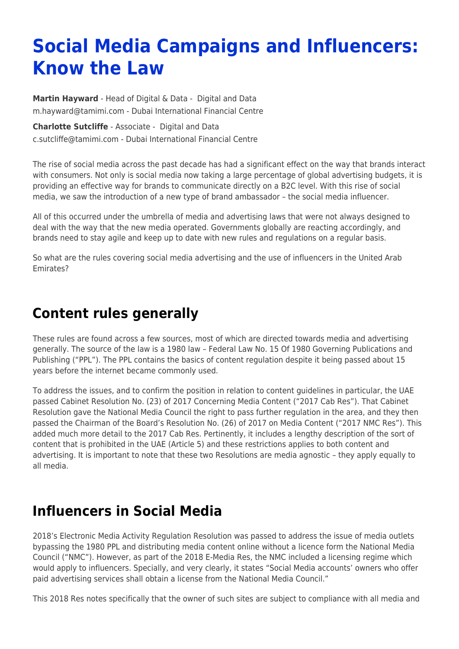# **Social Media Campaigns and Influencers: Know the Law**

**[Martin Hayward](https://www.tamimi.com/find-a-lawyer/martin-hayward/)** - Head of Digital & Data - [Digital and Data](https://www.tamimi.com/client-services/practices/digital-data/) [m.hayward@tamimi.com](mailto:m.hayward@tamimi.com) - [Dubai International Financial Centre](https://www.tamimi.com/locations/uae/)

**[Charlotte Sutcliffe](https://www.tamimi.com/find-a-lawyer/charlotte-sutcliffe/)** - Associate - [Digital and Data](https://www.tamimi.com/client-services/practices/digital-data/) [c.sutcliffe@tamimi.com](mailto:c.sutcliffe@tamimi.com) - [Dubai International Financial Centre](https://www.tamimi.com/locations/uae/)

The rise of social media across the past decade has had a significant effect on the way that brands interact with consumers. Not only is social media now taking a large percentage of global advertising budgets, it is providing an effective way for brands to communicate directly on a B2C level. With this rise of social media, we saw the introduction of a new type of brand ambassador – the social media influencer.

All of this occurred under the umbrella of media and advertising laws that were not always designed to deal with the way that the new media operated. Governments globally are reacting accordingly, and brands need to stay agile and keep up to date with new rules and regulations on a regular basis.

So what are the rules covering social media advertising and the use of influencers in the United Arab Emirates?

### **Content rules generally**

These rules are found across a few sources, most of which are directed towards media and advertising generally. The source of the law is a 1980 law – Federal Law No. 15 Of 1980 Governing Publications and Publishing ("PPL"). The PPL contains the basics of content regulation despite it being passed about 15 years before the internet became commonly used.

To address the issues, and to confirm the position in relation to content guidelines in particular, the UAE passed Cabinet Resolution No. (23) of 2017 Concerning Media Content ("2017 Cab Res"). That Cabinet Resolution gave the National Media Council the right to pass further regulation in the area, and they then passed the Chairman of the Board's Resolution No. (26) of 2017 on Media Content ("2017 NMC Res"). This added much more detail to the 2017 Cab Res. Pertinently, it includes a lengthy description of the sort of content that is prohibited in the UAE (Article 5) and these restrictions applies to both content and advertising. It is important to note that these two Resolutions are media agnostic – they apply equally to all media.

## **Influencers in Social Media**

2018's Electronic Media Activity Regulation Resolution was passed to address the issue of media outlets bypassing the 1980 PPL and distributing media content online without a licence form the National Media Council ("NMC"). However, as part of the 2018 E-Media Res, the NMC included a licensing regime which would apply to influencers. Specially, and very clearly, it states "Social Media accounts' owners who offer paid advertising services shall obtain a license from the National Media Council."

This 2018 Res notes specifically that the owner of such sites are subject to compliance with all media and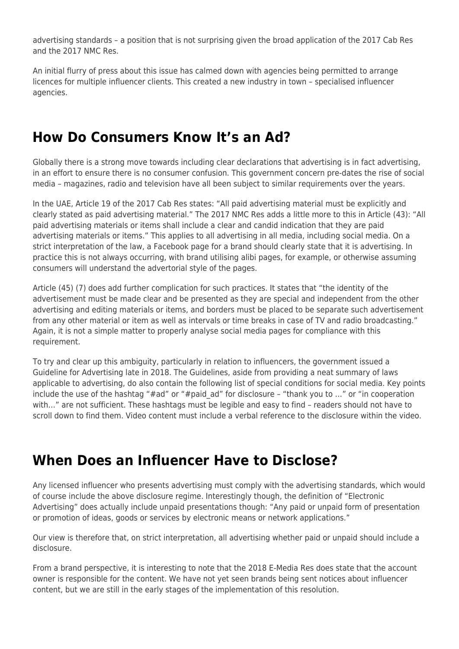advertising standards – a position that is not surprising given the broad application of the 2017 Cab Res and the 2017 NMC Res.

An initial flurry of press about this issue has calmed down with agencies being permitted to arrange licences for multiple influencer clients. This created a new industry in town – specialised influencer agencies.

#### **How Do Consumers Know It's an Ad?**

Globally there is a strong move towards including clear declarations that advertising is in fact advertising, in an effort to ensure there is no consumer confusion. This government concern pre-dates the rise of social media – magazines, radio and television have all been subject to similar requirements over the years.

In the UAE, Article 19 of the 2017 Cab Res states: "All paid advertising material must be explicitly and clearly stated as paid advertising material." The 2017 NMC Res adds a little more to this in Article (43): "All paid advertising materials or items shall include a clear and candid indication that they are paid advertising materials or items." This applies to all advertising in all media, including social media. On a strict interpretation of the law, a Facebook page for a brand should clearly state that it is advertising. In practice this is not always occurring, with brand utilising alibi pages, for example, or otherwise assuming consumers will understand the advertorial style of the pages.

Article (45) (7) does add further complication for such practices. It states that "the identity of the advertisement must be made clear and be presented as they are special and independent from the other advertising and editing materials or items, and borders must be placed to be separate such advertisement from any other material or item as well as intervals or time breaks in case of TV and radio broadcasting." Again, it is not a simple matter to properly analyse social media pages for compliance with this requirement.

To try and clear up this ambiguity, particularly in relation to influencers, the government issued a Guideline for Advertising late in 2018. The Guidelines, aside from providing a neat summary of laws applicable to advertising, do also contain the following list of special conditions for social media. Key points include the use of the hashtag "#ad" or "#paid\_ad" for disclosure – "thank you to …" or "in cooperation with…" are not sufficient. These hashtags must be legible and easy to find – readers should not have to scroll down to find them. Video content must include a verbal reference to the disclosure within the video.

#### **When Does an Influencer Have to Disclose?**

Any licensed influencer who presents advertising must comply with the advertising standards, which would of course include the above disclosure regime. Interestingly though, the definition of "Electronic Advertising" does actually include unpaid presentations though: "Any paid or unpaid form of presentation or promotion of ideas, goods or services by electronic means or network applications."

Our view is therefore that, on strict interpretation, all advertising whether paid or unpaid should include a disclosure.

From a brand perspective, it is interesting to note that the 2018 E-Media Res does state that the account owner is responsible for the content. We have not yet seen brands being sent notices about influencer content, but we are still in the early stages of the implementation of this resolution.